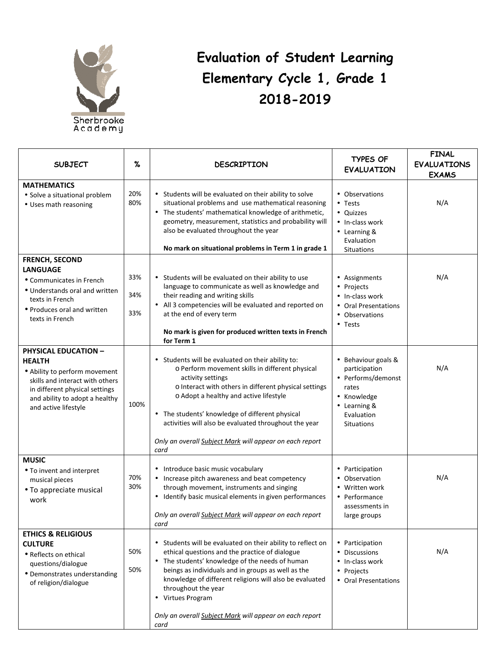

## **Evaluation of Student Learning Elementary Cycle 1, Grade 1 2018-2019**

| <b>SUBJECT</b>                                                                                                                                                                                               | $\%$              | <b>DESCRIPTION</b>                                                                                                                                                                                                                                                                                                                                                                                          | <b>TYPES OF</b><br><b>EVALUATION</b>                                                                                                  | <b>FINAL</b><br><b>EVALUATIONS</b><br><b>EXAMS</b> |
|--------------------------------------------------------------------------------------------------------------------------------------------------------------------------------------------------------------|-------------------|-------------------------------------------------------------------------------------------------------------------------------------------------------------------------------------------------------------------------------------------------------------------------------------------------------------------------------------------------------------------------------------------------------------|---------------------------------------------------------------------------------------------------------------------------------------|----------------------------------------------------|
| <b>MATHEMATICS</b><br>• Solve a situational problem<br>• Uses math reasoning                                                                                                                                 | 20%<br>80%        | • Students will be evaluated on their ability to solve<br>situational problems and use mathematical reasoning<br>• The students' mathematical knowledge of arithmetic,<br>geometry, measurement, statistics and probability will<br>also be evaluated throughout the year<br>No mark on situational problems in Term 1 in grade 1                                                                           | • Observations<br>$\bullet$ Tests<br>• Quizzes<br>• In-class work<br>• Learning &<br>Evaluation<br><b>Situations</b>                  | N/A                                                |
| <b>FRENCH, SECOND</b><br><b>LANGUAGE</b><br>• Communicates in French<br>• Understands oral and written<br>texts in French<br>• Produces oral and written<br>texts in French                                  | 33%<br>34%<br>33% | • Students will be evaluated on their ability to use<br>language to communicate as well as knowledge and<br>their reading and writing skills<br>• All 3 competencies will be evaluated and reported on<br>at the end of every term<br>No mark is given for produced written texts in French<br>for Term 1                                                                                                   | • Assignments<br>• Projects<br>• In-class work<br>• Oral Presentations<br>• Observations<br>$\bullet$ Tests                           | N/A                                                |
| <b>PHYSICAL EDUCATION -</b><br><b>HEALTH</b><br>• Ability to perform movement<br>skills and interact with others<br>in different physical settings<br>and ability to adopt a healthy<br>and active lifestyle | 100%              | • Students will be evaluated on their ability to:<br>o Perform movement skills in different physical<br>activity settings<br>o Interact with others in different physical settings<br>o Adopt a healthy and active lifestyle<br>• The students' knowledge of different physical<br>activities will also be evaluated throughout the year<br>Only an overall Subject Mark will appear on each report<br>card | • Behaviour goals &<br>participation<br>• Performs/demonst<br>rates<br>• Knowledge<br>• Learning &<br>Evaluation<br><b>Situations</b> | N/A                                                |
| <b>MUSIC</b><br>• To invent and interpret<br>musical pieces<br>• To appreciate musical<br>work                                                                                                               | 70%<br>30%        | • Introduce basic music vocabulary<br>• Increase pitch awareness and beat competency<br>through movement, instruments and singing<br>• Identify basic musical elements in given performances<br>Only an overall Subject Mark will appear on each report<br>card                                                                                                                                             | • Participation<br>• Observation<br>• Written work<br>• Performance<br>assessments in<br>large groups                                 | N/A                                                |
| <b>ETHICS &amp; RELIGIOUS</b><br><b>CULTURE</b><br>• Reflects on ethical<br>questions/dialogue<br>• Demonstrates understanding<br>of religion/dialogue                                                       | 50%<br>50%        | • Students will be evaluated on their ability to reflect on<br>ethical questions and the practice of dialogue<br>• The students' knowledge of the needs of human<br>beings as individuals and in groups as well as the<br>knowledge of different religions will also be evaluated<br>throughout the year<br>• Virtues Program<br>Only an overall Subject Mark will appear on each report<br>card            | • Participation<br>• Discussions<br>• In-class work<br>• Projects<br>• Oral Presentations                                             | N/A                                                |